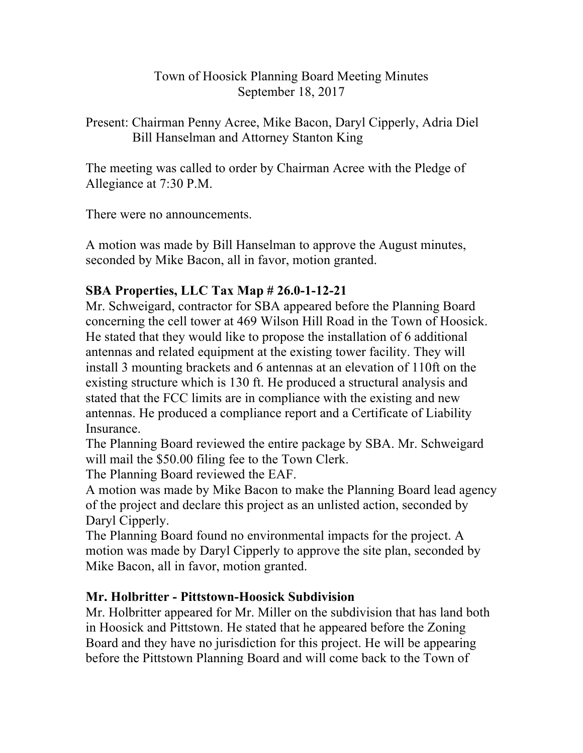## Town of Hoosick Planning Board Meeting Minutes September 18, 2017

Present: Chairman Penny Acree, Mike Bacon, Daryl Cipperly, Adria Diel Bill Hanselman and Attorney Stanton King

The meeting was called to order by Chairman Acree with the Pledge of Allegiance at 7:30 P.M.

There were no announcements.

A motion was made by Bill Hanselman to approve the August minutes, seconded by Mike Bacon, all in favor, motion granted.

## **SBA Properties, LLC Tax Map # 26.0-1-12-21**

Mr. Schweigard, contractor for SBA appeared before the Planning Board concerning the cell tower at 469 Wilson Hill Road in the Town of Hoosick. He stated that they would like to propose the installation of 6 additional antennas and related equipment at the existing tower facility. They will install 3 mounting brackets and 6 antennas at an elevation of 110ft on the existing structure which is 130 ft. He produced a structural analysis and stated that the FCC limits are in compliance with the existing and new antennas. He produced a compliance report and a Certificate of Liability Insurance.

The Planning Board reviewed the entire package by SBA. Mr. Schweigard will mail the \$50.00 filing fee to the Town Clerk.

The Planning Board reviewed the EAF.

A motion was made by Mike Bacon to make the Planning Board lead agency of the project and declare this project as an unlisted action, seconded by Daryl Cipperly.

The Planning Board found no environmental impacts for the project. A motion was made by Daryl Cipperly to approve the site plan, seconded by Mike Bacon, all in favor, motion granted.

## **Mr. Holbritter - Pittstown-Hoosick Subdivision**

Mr. Holbritter appeared for Mr. Miller on the subdivision that has land both in Hoosick and Pittstown. He stated that he appeared before the Zoning Board and they have no jurisdiction for this project. He will be appearing before the Pittstown Planning Board and will come back to the Town of